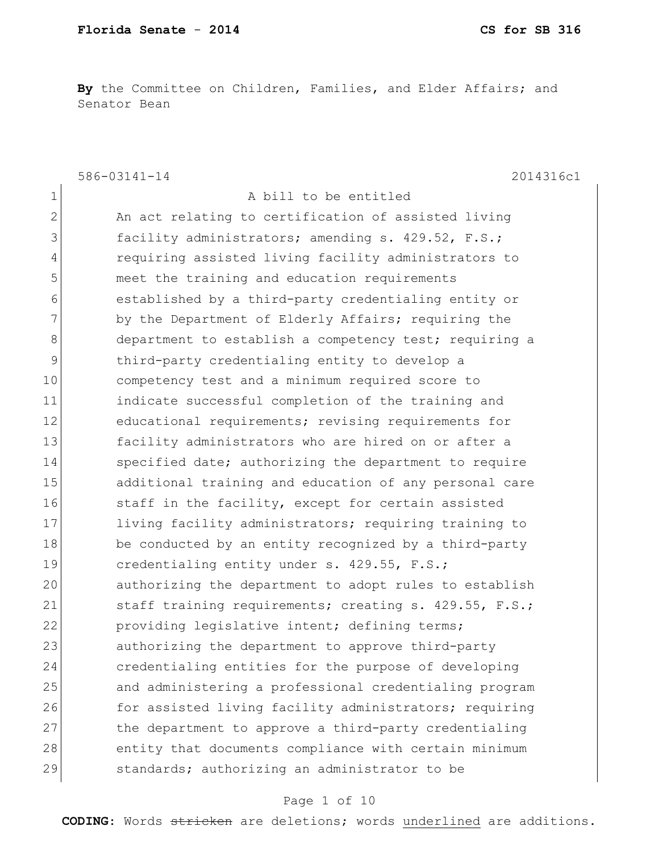**By** the Committee on Children, Families, and Elder Affairs; and Senator Bean

586-03141-14 2014316c1 1 a bill to be entitled 2 An act relating to certification of assisted living 3 facility administrators; amending s. 429.52, F.S.; 4 requiring assisted living facility administrators to 5 meet the training and education requirements 6 established by a third-party credentialing entity or 7 by the Department of Elderly Affairs; requiring the 8 8 department to establish a competency test; requiring a 9 third-party credentialing entity to develop a 10 competency test and a minimum required score to 11 indicate successful completion of the training and 12 educational requirements; revising requirements for 13 facility administrators who are hired on or after a 14 Specified date; authorizing the department to require 15 additional training and education of any personal care 16 16 staff in the facility, except for certain assisted 17 living facility administrators; requiring training to 18 be conducted by an entity recognized by a third-party 19 credentialing entity under s. 429.55, F.S.; 20 authorizing the department to adopt rules to establish 21 staff training requirements; creating s. 429.55, F.S.; 22 providing legislative intent; defining terms; 23 authorizing the department to approve third-party 24 credentialing entities for the purpose of developing 25 and administering a professional credentialing program 26 for assisted living facility administrators; requiring 27 the department to approve a third-party credentialing 28 entity that documents compliance with certain minimum 29 Standards; authorizing an administrator to be

#### Page 1 of 10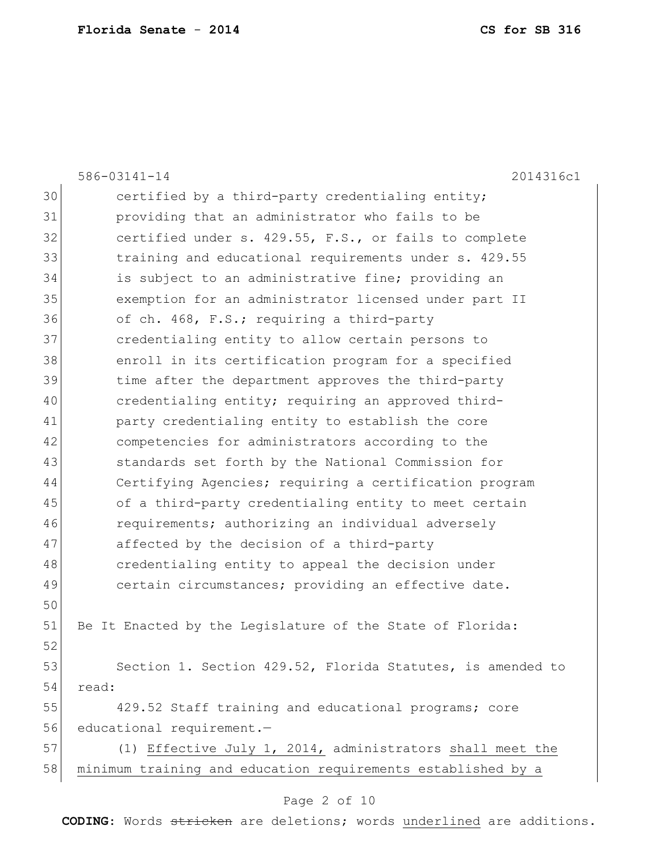|    | 586-03141-14<br>2014316c1                                    |
|----|--------------------------------------------------------------|
| 30 | certified by a third-party credentialing entity;             |
| 31 | providing that an administrator who fails to be              |
| 32 | certified under s. 429.55, F.S., or fails to complete        |
| 33 | training and educational requirements under s. 429.55        |
| 34 | is subject to an administrative fine; providing an           |
| 35 | exemption for an administrator licensed under part II        |
| 36 | of ch. 468, F.S.; requiring a third-party                    |
| 37 | credentialing entity to allow certain persons to             |
| 38 | enroll in its certification program for a specified          |
| 39 | time after the department approves the third-party           |
| 40 | credentialing entity; requiring an approved third-           |
| 41 | party credentialing entity to establish the core             |
| 42 | competencies for administrators according to the             |
| 43 | standards set forth by the National Commission for           |
| 44 | Certifying Agencies; requiring a certification program       |
| 45 | of a third-party credentialing entity to meet certain        |
| 46 | requirements; authorizing an individual adversely            |
| 47 | affected by the decision of a third-party                    |
| 48 | credentialing entity to appeal the decision under            |
| 49 | certain circumstances; providing an effective date.          |
| 50 |                                                              |
| 51 | Be It Enacted by the Legislature of the State of Florida:    |
| 52 |                                                              |
| 53 | Section 1. Section 429.52, Florida Statutes, is amended to   |
| 54 | read:                                                        |
| 55 | 429.52 Staff training and educational programs; core         |
| 56 | educational requirement.-                                    |
| 57 | (1) Effective July 1, 2014, administrators shall meet the    |
| 58 | minimum training and education requirements established by a |
|    | Page 2 of 10                                                 |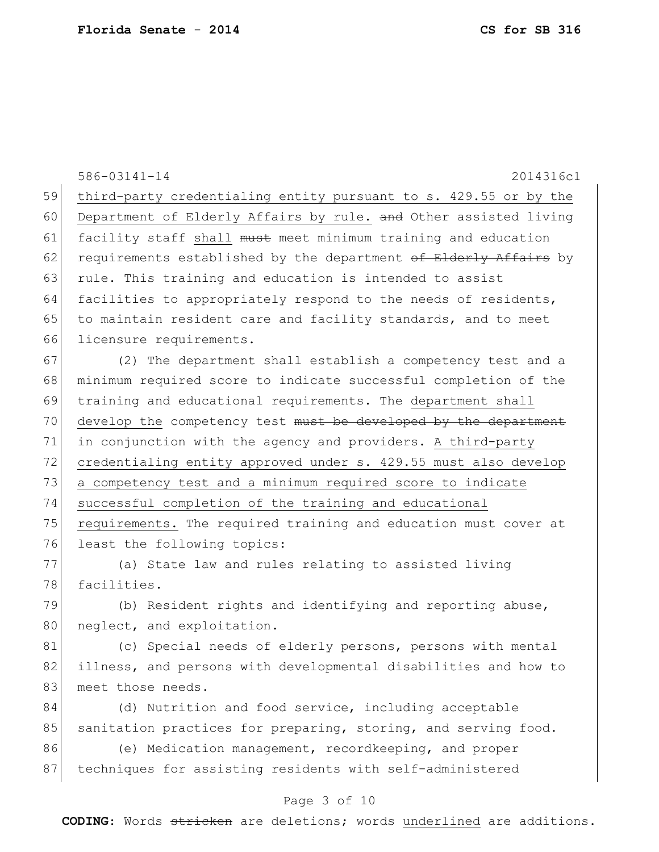|    | 586-03141-14<br>2014316c1                                        |
|----|------------------------------------------------------------------|
| 59 | third-party credentialing entity pursuant to s. 429.55 or by the |
| 60 | Department of Elderly Affairs by rule. and Other assisted living |
| 61 | facility staff shall must meet minimum training and education    |
| 62 | requirements established by the department of Elderly Affairs by |
| 63 | rule. This training and education is intended to assist          |
| 64 | facilities to appropriately respond to the needs of residents,   |
| 65 | to maintain resident care and facility standards, and to meet    |
| 66 | licensure requirements.                                          |
| 67 | (2) The department shall establish a competency test and a       |
| 68 | minimum required score to indicate successful completion of the  |
| 69 | training and educational requirements. The department shall      |
| 70 | develop the competency test must be developed by the department  |
| 71 | in conjunction with the agency and providers. A third-party      |
| 72 | credentialing entity approved under s. 429.55 must also develop  |
| 73 | a competency test and a minimum required score to indicate       |
| 74 | successful completion of the training and educational            |
| 75 | requirements. The required training and education must cover at  |
| 76 | least the following topics:                                      |
| 77 | (a) State law and rules relating to assisted living              |
| 78 | facilities.                                                      |
| 79 | (b) Resident rights and identifying and reporting abuse,         |
| 80 | neglect, and exploitation.                                       |
| 81 | (c) Special needs of elderly persons, persons with mental        |
| 82 | illness, and persons with developmental disabilities and how to  |
| 83 | meet those needs.                                                |
| 84 | (d) Nutrition and food service, including acceptable             |
| 85 | sanitation practices for preparing, storing, and serving food.   |
| 86 | (e) Medication management, recordkeeping, and proper             |
| 87 | techniques for assisting residents with self-administered        |
|    |                                                                  |

#### Page 3 of 10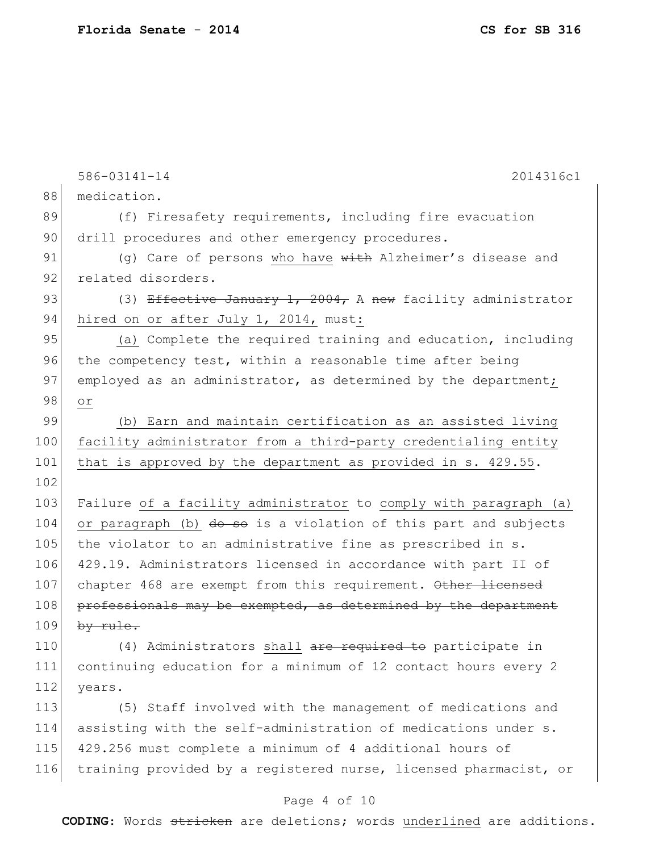|     | 586-03141-14<br>2014316c1                                        |
|-----|------------------------------------------------------------------|
| 88  | medication.                                                      |
| 89  | (f) Firesafety requirements, including fire evacuation           |
| 90  | drill procedures and other emergency procedures.                 |
| 91  | (g) Care of persons who have with Alzheimer's disease and        |
| 92  | related disorders.                                               |
| 93  | (3) Effective January 1, 2004, A new facility administrator      |
| 94  | hired on or after July 1, 2014, must:                            |
| 95  | (a) Complete the required training and education, including      |
| 96  | the competency test, within a reasonable time after being        |
| 97  | employed as an administrator, as determined by the department;   |
| 98  | $\circ$ $\,$                                                     |
| 99  | (b) Earn and maintain certification as an assisted living        |
| 100 | facility administrator from a third-party credentialing entity   |
| 101 | that is approved by the department as provided in s. 429.55.     |
| 102 |                                                                  |
| 103 | Failure of a facility administrator to comply with paragraph (a) |
| 104 | or paragraph (b) do so is a violation of this part and subjects  |
| 105 | the violator to an administrative fine as prescribed in s.       |
| 106 | 429.19. Administrators licensed in accordance with part II of    |
| 107 | chapter 468 are exempt from this requirement. Other licensed     |
| 108 | professionals may be exempted, as determined by the department   |
| 109 | by rule.                                                         |
| 110 | (4) Administrators shall are required to participate in          |
| 111 | continuing education for a minimum of 12 contact hours every 2   |
| 112 | years.                                                           |
| 113 | (5) Staff involved with the management of medications and        |
| 114 | assisting with the self-administration of medications under s.   |
| 115 | 429.256 must complete a minimum of 4 additional hours of         |
| 116 | training provided by a registered nurse, licensed pharmacist, or |

# Page 4 of 10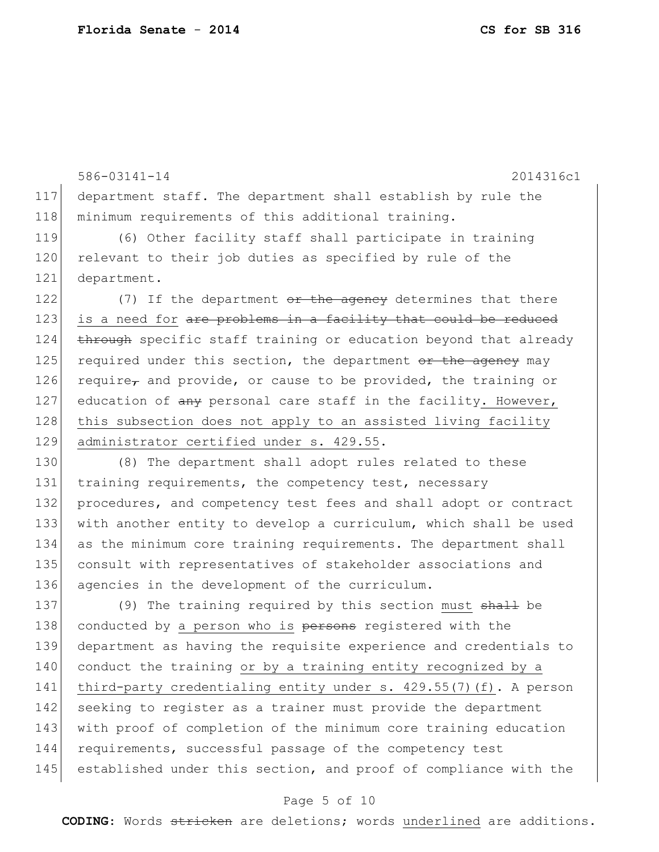586-03141-14 2014316c1 117 department staff. The department shall establish by rule the 118 minimum requirements of this additional training. 119 (6) Other facility staff shall participate in training 120 relevant to their job duties as specified by rule of the 121 department. 122  $(7)$  If the department  $\theta$ r the agency determines that there 123 is a need for are problems in a facility that could be reduced 124 through specific staff training or education beyond that already 125 required under this section, the department  $\sigma$  the agency may 126 require, and provide, or cause to be provided, the training or 127 education of any personal care staff in the facility. However, 128 this subsection does not apply to an assisted living facility 129 administrator certified under s. 429.55. 130 (8) The department shall adopt rules related to these 131 training requirements, the competency test, necessary 132 procedures, and competency test fees and shall adopt or contract 133 with another entity to develop a curriculum, which shall be used 134 as the minimum core training requirements. The department shall 135 consult with representatives of stakeholder associations and 136 agencies in the development of the curriculum. 137 (9) The training required by this section must shall be 138 conducted by a person who is persons registered with the 139 department as having the requisite experience and credentials to 140 conduct the training or by a training entity recognized by a 141 third-party credentialing entity under s. 429.55(7)(f). A person

142 seeking to register as a trainer must provide the department 143 with proof of completion of the minimum core training education 144 requirements, successful passage of the competency test 145 established under this section, and proof of compliance with the

#### Page 5 of 10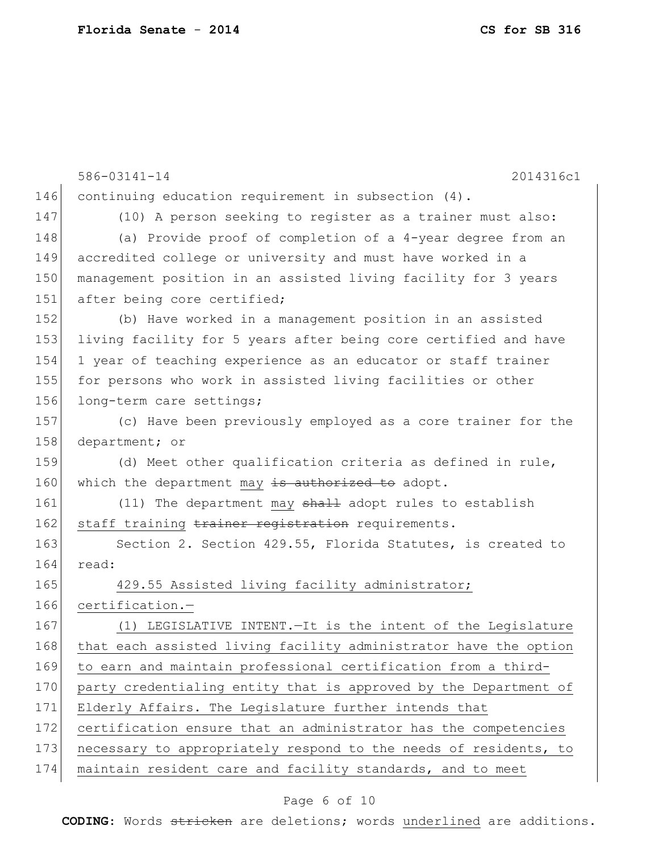|     | 586-03141-14<br>2014316c1                                        |
|-----|------------------------------------------------------------------|
| 146 | continuing education requirement in subsection $(4)$ .           |
| 147 | (10) A person seeking to register as a trainer must also:        |
| 148 | (a) Provide proof of completion of a 4-year degree from an       |
| 149 | accredited college or university and must have worked in a       |
| 150 | management position in an assisted living facility for 3 years   |
| 151 | after being core certified;                                      |
| 152 | (b) Have worked in a management position in an assisted          |
| 153 | living facility for 5 years after being core certified and have  |
| 154 | 1 year of teaching experience as an educator or staff trainer    |
| 155 | for persons who work in assisted living facilities or other      |
| 156 | long-term care settings;                                         |
| 157 | (c) Have been previously employed as a core trainer for the      |
| 158 | department; or                                                   |
| 159 | (d) Meet other qualification criteria as defined in rule,        |
| 160 | which the department may is authorized to adopt.                 |
| 161 | (11) The department may shall adopt rules to establish           |
| 162 | staff training trainer registration requirements.                |
| 163 | Section 2. Section 429.55, Florida Statutes, is created to       |
| 164 | read:                                                            |
| 165 | 429.55 Assisted living facility administrator;                   |
| 166 | certification.-                                                  |
| 167 | (1) LEGISLATIVE INTENT. - It is the intent of the Legislature    |
| 168 | that each assisted living facility administrator have the option |
| 169 | to earn and maintain professional certification from a third-    |
| 170 | party credentialing entity that is approved by the Department of |
| 171 | Elderly Affairs. The Legislature further intends that            |
| 172 | certification ensure that an administrator has the competencies  |
| 173 | necessary to appropriately respond to the needs of residents, to |
| 174 | maintain resident care and facility standards, and to meet       |
|     |                                                                  |

# Page 6 of 10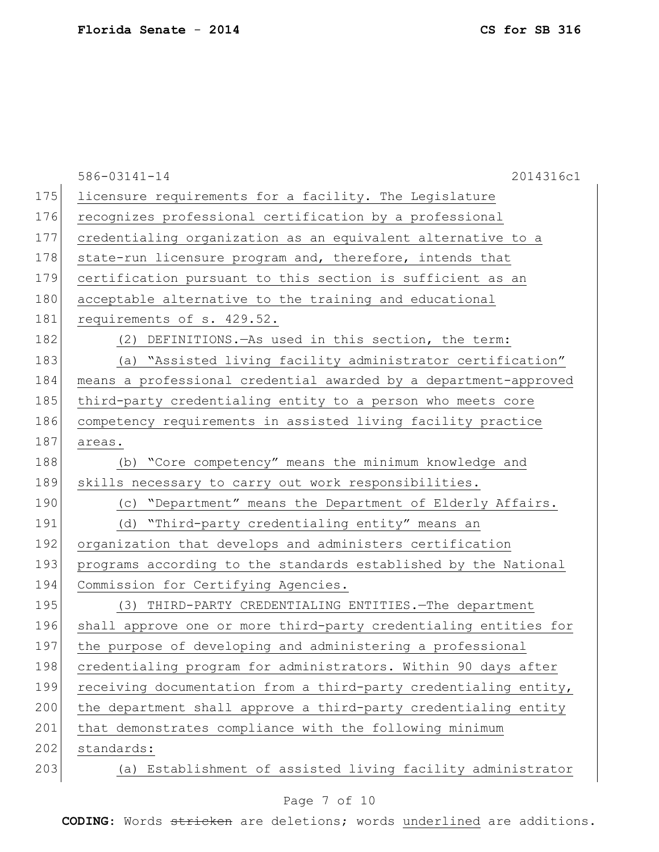|     | $586 - 03141 - 14$<br>2014316c1                                  |
|-----|------------------------------------------------------------------|
| 175 | licensure requirements for a facility. The Legislature           |
| 176 | recognizes professional certification by a professional          |
| 177 | credentialing organization as an equivalent alternative to a     |
| 178 | state-run licensure program and, therefore, intends that         |
| 179 | certification pursuant to this section is sufficient as an       |
| 180 | acceptable alternative to the training and educational           |
| 181 | requirements of s. 429.52.                                       |
| 182 | (2) DEFINITIONS. As used in this section, the term:              |
| 183 | (a) "Assisted living facility administrator certification"       |
| 184 | means a professional credential awarded by a department-approved |
| 185 | third-party credentialing entity to a person who meets core      |
| 186 | competency requirements in assisted living facility practice     |
| 187 | areas.                                                           |
| 188 | (b) "Core competency" means the minimum knowledge and            |
| 189 | skills necessary to carry out work responsibilities.             |
| 190 | (c) "Department" means the Department of Elderly Affairs.        |
| 191 | (d) "Third-party credentialing entity" means an                  |
| 192 | organization that develops and administers certification         |
| 193 | programs according to the standards established by the National  |
| 194 | Commission for Certifying Agencies.                              |
| 195 | (3) THIRD-PARTY CREDENTIALING ENTITIES. The department           |
| 196 | shall approve one or more third-party credentialing entities for |
| 197 | the purpose of developing and administering a professional       |
| 198 | credentialing program for administrators. Within 90 days after   |
| 199 | receiving documentation from a third-party credentialing entity, |
| 200 | the department shall approve a third-party credentialing entity  |
| 201 | that demonstrates compliance with the following minimum          |
| 202 | standards:                                                       |
| 203 | (a) Establishment of assisted living facility administrator      |

# Page 7 of 10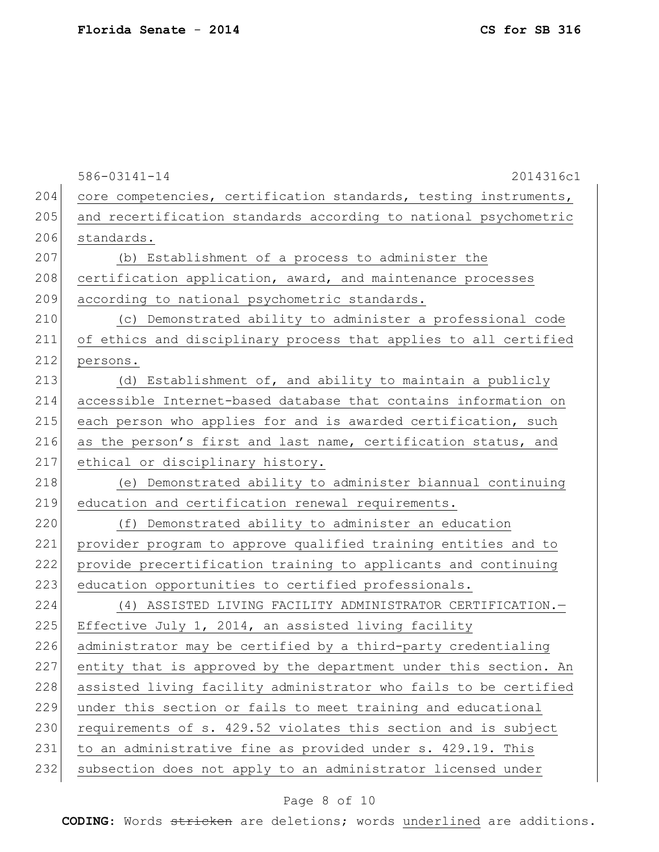586-03141-14 2014316c1 204 core competencies, certification standards, testing instruments, 205 and recertification standards according to national psychometric 206 standards. 207 (b) Establishment of a process to administer the 208 certification application, award, and maintenance processes 209 according to national psychometric standards. 210 (c) Demonstrated ability to administer a professional code 211 of ethics and disciplinary process that applies to all certified 212 persons. 213 (d) Establishment of, and ability to maintain a publicly 214 accessible Internet-based database that contains information on 215 each person who applies for and is awarded certification, such 216 as the person's first and last name, certification status, and 217 ethical or disciplinary history. 218 (e) Demonstrated ability to administer biannual continuing 219 education and certification renewal requirements. 220 (f) Demonstrated ability to administer an education 221 provider program to approve qualified training entities and to 222 provide precertification training to applicants and continuing 223 education opportunities to certified professionals. 224 (4) ASSISTED LIVING FACILITY ADMINISTRATOR CERTIFICATION.— 225 Effective July 1, 2014, an assisted living facility 226 administrator may be certified by a third-party credentialing 227 entity that is approved by the department under this section. An 228 assisted living facility administrator who fails to be certified 229 under this section or fails to meet training and educational 230 requirements of s. 429.52 violates this section and is subject 231 to an administrative fine as provided under s. 429.19. This 232 subsection does not apply to an administrator licensed under

#### Page 8 of 10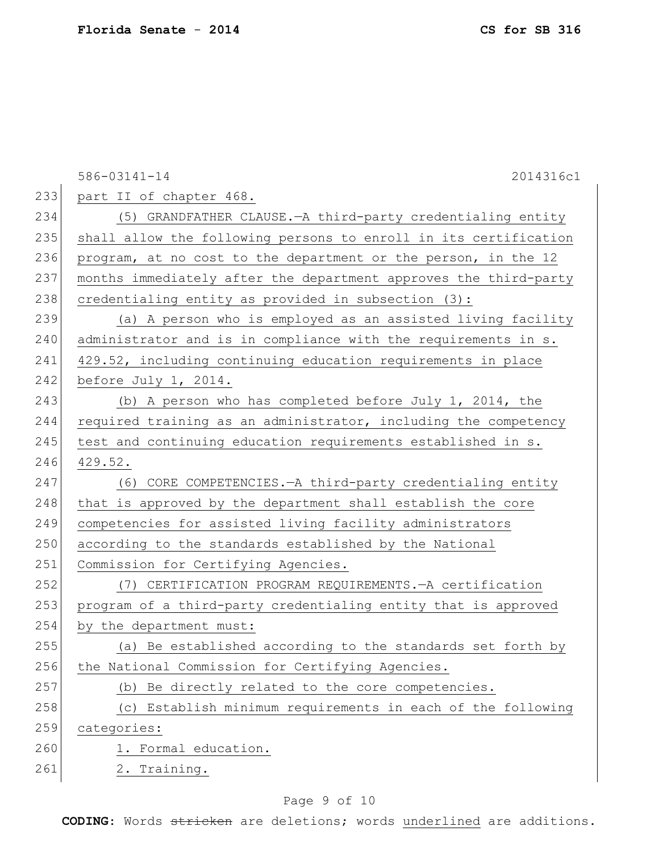|     | 586-03141-14<br>2014316c1                                        |
|-----|------------------------------------------------------------------|
| 233 | part II of chapter 468.                                          |
| 234 | (5) GRANDFATHER CLAUSE. - A third-party credentialing entity     |
| 235 | shall allow the following persons to enroll in its certification |
| 236 | program, at no cost to the department or the person, in the 12   |
| 237 | months immediately after the department approves the third-party |
| 238 | credentialing entity as provided in subsection (3):              |
| 239 | (a) A person who is employed as an assisted living facility      |
| 240 | administrator and is in compliance with the requirements in s.   |
| 241 | 429.52, including continuing education requirements in place     |
| 242 | before July 1, 2014.                                             |
| 243 | (b) A person who has completed before July $1$ , 2014, the       |
| 244 | required training as an administrator, including the competency  |
| 245 | test and continuing education requirements established in s.     |
| 246 | 429.52.                                                          |
| 247 | (6) CORE COMPETENCIES. - A third-party credentialing entity      |
| 248 | that is approved by the department shall establish the core      |
| 249 | competencies for assisted living facility administrators         |
| 250 | according to the standards established by the National           |
| 251 | Commission for Certifying Agencies.                              |
| 252 | (7) CERTIFICATION PROGRAM REQUIREMENTS. - A certification        |
| 253 | program of a third-party credentialing entity that is approved   |
| 254 | by the department must:                                          |
| 255 | (a) Be established according to the standards set forth by       |
| 256 | the National Commission for Certifying Agencies.                 |
| 257 | Be directly related to the core competencies.<br>(b)             |
| 258 | Establish minimum requirements in each of the following<br>(C)   |
| 259 | categories:                                                      |
| 260 | 1. Formal education.                                             |
| 261 | 2. Training.                                                     |

# Page 9 of 10